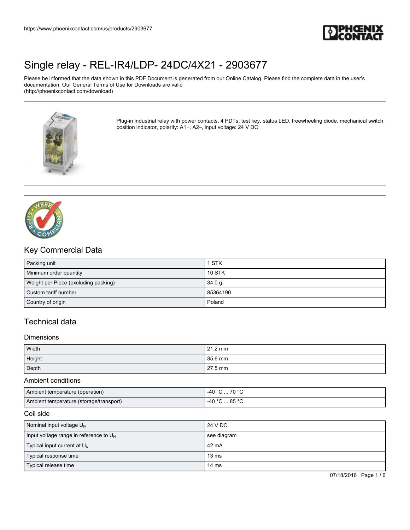

Please be informed that the data shown in this PDF Document is generated from our Online Catalog. Please find the complete data in the user's documentation. Our General Terms of Use for Downloads are valid (http://phoenixcontact.com/download)



Plug-in industrial relay with power contacts, 4 PDTs, test key, status LED, freewheeling diode, mechanical switch position indicator, polarity: A1+, A2–, input voltage: 24 V DC



## Key Commercial Data

| Packing unit                         | 1 STK             |
|--------------------------------------|-------------------|
| Minimum order quantity               | <b>10 STK</b>     |
| Weight per Piece (excluding packing) | 34.0 <sub>q</sub> |
| Custom tariff number                 | 85364190          |
| Country of origin                    | Poland            |

## Technical data

#### **Dimensions**

| Width  | 21.2 mm |
|--------|---------|
| Height | 35.6 mm |
| Depth  | 27.5 mm |

### Ambient conditions

| Ambient temperature (operation)         | 70 °C<br>$\Lambda$ $\circ$ $\sim$ |
|-----------------------------------------|-----------------------------------|
| Ambient temperature (storage/transport) | $\Lambda$ $\Omega$<br>. 85 °C     |

### Coil side

| Nominal input voltage $U_{N}$               | 24 V DC         |
|---------------------------------------------|-----------------|
| Input voltage range in reference to $U_{N}$ | see diagram     |
| Typical input current at $U_N$              | l 42 mA         |
| Typical response time                       | $13 \text{ ms}$ |
| Typical release time                        | 14 ms           |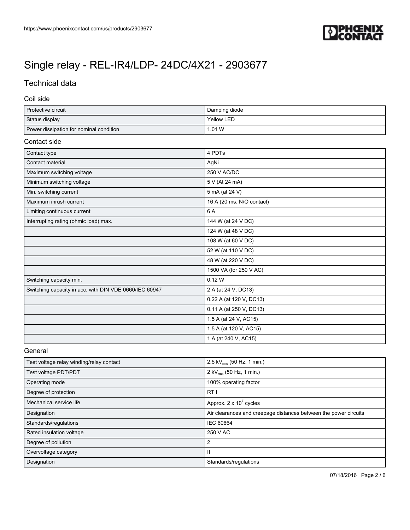

## Technical data

### Coil side

| Protective circuit                      | Damping diode |
|-----------------------------------------|---------------|
| Status display                          | Yellow LED    |
| Power dissipation for nominal condition | 1.01 W        |

## Contact side

| Contact type                                           | 4 PDTs                    |
|--------------------------------------------------------|---------------------------|
| Contact material                                       | AgNi                      |
| Maximum switching voltage                              | 250 V AC/DC               |
| Minimum switching voltage                              | 5 V (At 24 mA)            |
| Min. switching current                                 | 5 mA (at 24 V)            |
| Maximum inrush current                                 | 16 A (20 ms, N/O contact) |
| Limiting continuous current                            | 6 A                       |
| Interrupting rating (ohmic load) max.                  | 144 W (at 24 V DC)        |
|                                                        | 124 W (at 48 V DC)        |
|                                                        | 108 W (at 60 V DC)        |
|                                                        | 52 W (at 110 V DC)        |
|                                                        | 48 W (at 220 V DC)        |
|                                                        | 1500 VA (for 250 V AC)    |
| Switching capacity min.                                | 0.12 W                    |
| Switching capacity in acc. with DIN VDE 0660/IEC 60947 | 2 A (at 24 V, DC13)       |
|                                                        | 0.22 A (at 120 V, DC13)   |
|                                                        | 0.11 A (at 250 V, DC13)   |
|                                                        | 1.5 A (at 24 V, AC15)     |
|                                                        | 1.5 A (at 120 V, AC15)    |
|                                                        | 1 A (at 240 V, AC15)      |

### General

| Test voltage relay winding/relay contact | 2.5 kV $_{\rm rms}$ (50 Hz, 1 min.)                              |
|------------------------------------------|------------------------------------------------------------------|
| Test voltage PDT/PDT                     | 2 kV <sub>rms</sub> (50 Hz, 1 min.)                              |
| Operating mode                           | 100% operating factor                                            |
| Degree of protection                     | RTI                                                              |
| Mechanical service life                  | Approx. $2 \times 10^7$ cycles                                   |
| Designation                              | Air clearances and creepage distances between the power circuits |
| Standards/regulations                    | IEC 60664                                                        |
| Rated insulation voltage                 | 250 V AC                                                         |
| Degree of pollution                      | 2                                                                |
| Overvoltage category                     | $\mathsf{I}$                                                     |
| Designation                              | Standards/regulations                                            |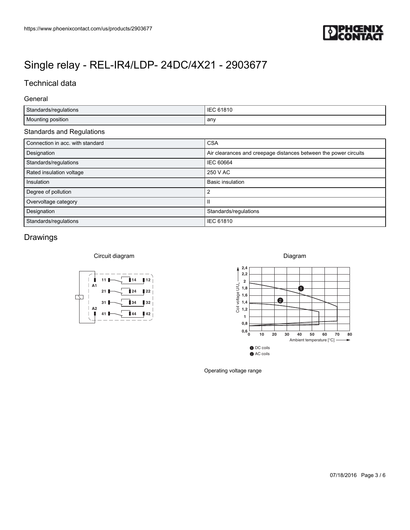

## Technical data

### General

|                                                                                                                                                                                                                       | PHŒNIX                                                                                                                             |
|-----------------------------------------------------------------------------------------------------------------------------------------------------------------------------------------------------------------------|------------------------------------------------------------------------------------------------------------------------------------|
|                                                                                                                                                                                                                       |                                                                                                                                    |
|                                                                                                                                                                                                                       |                                                                                                                                    |
|                                                                                                                                                                                                                       |                                                                                                                                    |
|                                                                                                                                                                                                                       |                                                                                                                                    |
|                                                                                                                                                                                                                       |                                                                                                                                    |
|                                                                                                                                                                                                                       |                                                                                                                                    |
| Standards/regulations                                                                                                                                                                                                 | IEC 61810                                                                                                                          |
| Mounting position                                                                                                                                                                                                     | any                                                                                                                                |
|                                                                                                                                                                                                                       |                                                                                                                                    |
| Connection in acc. with standard                                                                                                                                                                                      | <b>CSA</b>                                                                                                                         |
| Designation<br>Standards/regulations                                                                                                                                                                                  | Air clearances and creepage distances between the power circuits<br><b>IEC 60664</b>                                               |
| Rated insulation voltage                                                                                                                                                                                              | 250 V AC                                                                                                                           |
| Insulation                                                                                                                                                                                                            | <b>Basic insulation</b>                                                                                                            |
| Degree of pollution                                                                                                                                                                                                   | $\overline{2}$                                                                                                                     |
| Overvoltage category                                                                                                                                                                                                  | $\, \rm II$                                                                                                                        |
| https://www.phoenixcontact.com/us/products/2903677<br>Single relay - REL-IR4/LDP- 24DC/4X21 - 2903677<br><b>Technical data</b><br>General<br><b>Standards and Regulations</b><br>Designation<br>Standards/regulations | Standards/regulations<br>IEC 61810                                                                                                 |
|                                                                                                                                                                                                                       |                                                                                                                                    |
| Drawings                                                                                                                                                                                                              |                                                                                                                                    |
|                                                                                                                                                                                                                       |                                                                                                                                    |
| Circuit diagram                                                                                                                                                                                                       | Diagram<br>2,4                                                                                                                     |
| $\parallel$ 14 $\parallel$ 12<br>$11$ $\blacksquare$<br>ш                                                                                                                                                             | 2,2                                                                                                                                |
| A <sub>1</sub><br>▌22<br>24<br>21 <sub>1</sub>                                                                                                                                                                        | $\overline{\mathbf{2}}$<br>$\bullet$                                                                                               |
| ∆<br>▌32<br>31 L<br>34                                                                                                                                                                                                | $\bullet$                                                                                                                          |
| A <sub>2</sub><br>$\blacksquare$<br>42<br>41                                                                                                                                                                          | $\frac{2}{2}$ 1,8<br>$\frac{3}{2}$ 1,8<br>$\frac{1}{2}$ 1,6<br>$\frac{4}{2}$ 1,4<br>$\frac{1}{2}$ 1,2                              |
|                                                                                                                                                                                                                       | $\mathbf{1}$<br>$\mathbf{0},\mathbf{8}$                                                                                            |
|                                                                                                                                                                                                                       | $\mathbf{0.6}$<br>$_0^{\mathsf{L}}$<br>$10$<br>20<br>30<br>40<br>50<br>60<br>70 80<br>Ambient temperature $[°C]$ $\longrightarrow$ |

| Insulation            | <b>Basic insulation</b> |
|-----------------------|-------------------------|
| Degree of pollution   |                         |
| Overvoltage category  |                         |
| Designation           | Standards/regulations   |
| Standards/regulations | <b>IEC 61810</b>        |

## Drawings



## Diagram



Operating voltage range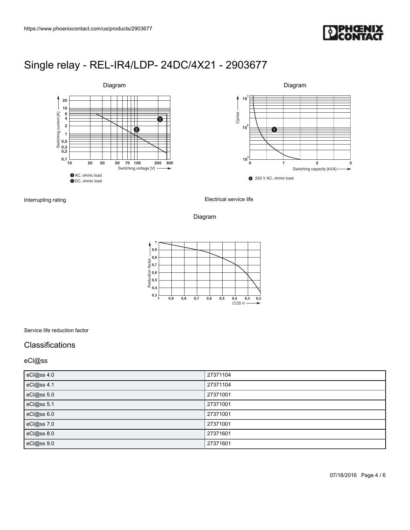



Interrupting rating

Electrical service life

### Diagram



Service life reduction factor

### **Classifications**

### eCl@ss

| eCl@ss 4.0 | 27371104 |
|------------|----------|
| eCl@ss 4.1 | 27371104 |
| eCl@ss 5.0 | 27371001 |
| eCl@ss 5.1 | 27371001 |
| eCl@ss 6.0 | 27371001 |
| eCl@ss 7.0 | 27371001 |
| eCl@ss 8.0 | 27371601 |
| eCl@ss 9.0 | 27371601 |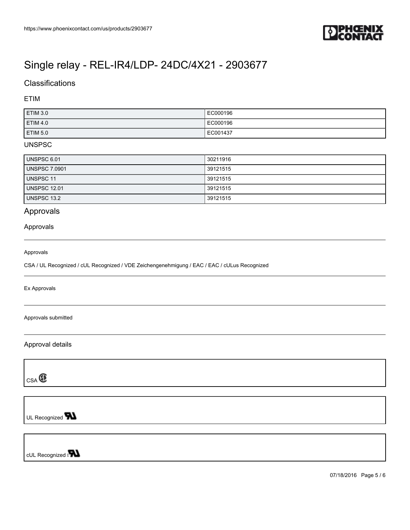

## **Classifications**

### ETIM

| <b>ETIM 3.0</b>     | EC000196 |
|---------------------|----------|
| ETIM 4.0            | EC000196 |
| ETIM <sub>5.0</sub> | EC001437 |

### UNSPSC

| UNSPSC 6.01          | 30211916 |
|----------------------|----------|
| <b>UNSPSC 7.0901</b> | 39121515 |
| UNSPSC 11            | 39121515 |
| <b>UNSPSC 12.01</b>  | 39121515 |
| UNSPSC 13.2          | 39121515 |

## Approvals

### Approvals

#### Approvals

CSA / UL Recognized / cUL Recognized / VDE Zeichengenehmigung / EAC / EAC / cULus Recognized

Ex Approvals

Approvals submitted

Approval details

 $CSA$ 

UL Recognized **W** 

cUL Recognized of

07/18/2016 Page 5 / 6